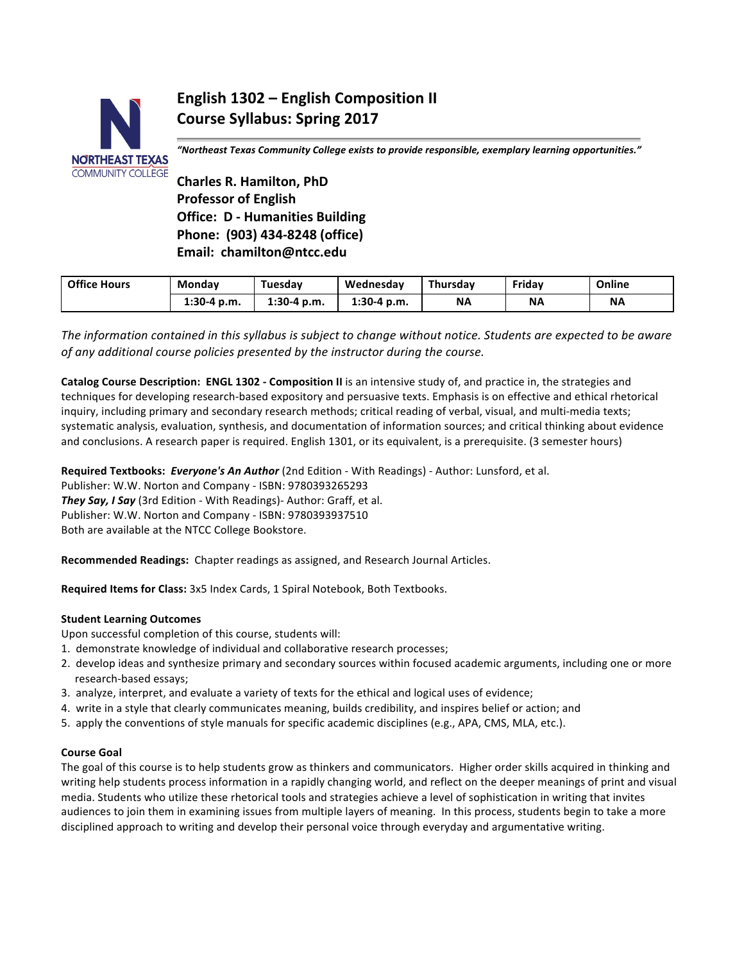

# **English 1302 – English Composition II Course Syllabus: Spring 2017**

*"Northeast Texas Community College exists to provide responsible, exemplary learning opportunities."*

**Charles R. Hamilton, PhD Professor of English Office: D - Humanities Building Phone: (903) 434-8248 (office) Email: chamilton@ntcc.edu**

| <b>Office Hours</b> | Mondav        | Tuesdav       | Wednesdav     | Thursdav | Fridav    | Online    |
|---------------------|---------------|---------------|---------------|----------|-----------|-----------|
|                     | $1:30-4$ p.m. | $1:30-4$ p.m. | $1:30-4$ p.m. | ΝA       | <b>NA</b> | <b>NA</b> |

The information contained in this syllabus is subject to change without notice. Students are expected to be aware *of any additional course policies presented by the instructor during the course.* 

**Catalog Course Description: ENGL 1302 - Composition II** is an intensive study of, and practice in, the strategies and techniques for developing research-based expository and persuasive texts. Emphasis is on effective and ethical rhetorical inquiry, including primary and secondary research methods; critical reading of verbal, visual, and multi-media texts; systematic analysis, evaluation, synthesis, and documentation of information sources; and critical thinking about evidence and conclusions. A research paper is required. English 1301, or its equivalent, is a prerequisite. (3 semester hours)

**Required Textbooks: Everyone's An Author** (2nd Edition - With Readings) - Author: Lunsford, et al. Publisher: W.W. Norton and Company - ISBN: 9780393265293 They Say, I Say (3rd Edition - With Readings)- Author: Graff, et al. Publisher: W.W. Norton and Company - ISBN: 9780393937510

Both are available at the NTCC College Bookstore.

**Recommended Readings:** Chapter readings as assigned, and Research Journal Articles.

**Required Items for Class:** 3x5 Index Cards, 1 Spiral Notebook, Both Textbooks.

### **Student Learning Outcomes**

Upon successful completion of this course, students will:

- 1. demonstrate knowledge of individual and collaborative research processes;
- 2. develop ideas and synthesize primary and secondary sources within focused academic arguments, including one or more research-based essays;
- 3. analyze, interpret, and evaluate a variety of texts for the ethical and logical uses of evidence;
- 4. write in a style that clearly communicates meaning, builds credibility, and inspires belief or action; and
- 5. apply the conventions of style manuals for specific academic disciplines (e.g., APA, CMS, MLA, etc.).

### **Course Goal**

The goal of this course is to help students grow as thinkers and communicators. Higher order skills acquired in thinking and writing help students process information in a rapidly changing world, and reflect on the deeper meanings of print and visual media. Students who utilize these rhetorical tools and strategies achieve a level of sophistication in writing that invites audiences to join them in examining issues from multiple layers of meaning. In this process, students begin to take a more disciplined approach to writing and develop their personal voice through everyday and argumentative writing.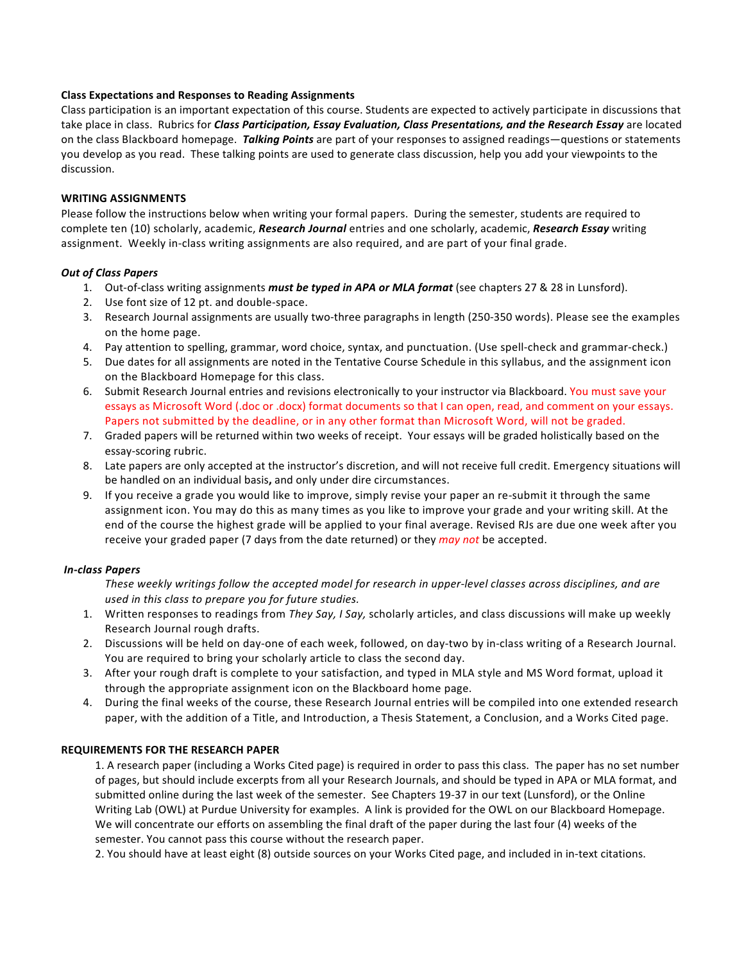### **Class Expectations and Responses to Reading Assignments**

Class participation is an important expectation of this course. Students are expected to actively participate in discussions that take place in class. Rubrics for *Class Participation, Essay Evaluation, Class Presentations, and the Research Essay* are located on the class Blackboard homepage. Talking Points are part of your responses to assigned readings—questions or statements you develop as you read. These talking points are used to generate class discussion, help you add your viewpoints to the discussion. 

# **WRITING ASSIGNMENTS**

Please follow the instructions below when writing your formal papers. During the semester, students are required to complete ten (10) scholarly, academic, *Research Journal* entries and one scholarly, academic, *Research Essay* writing assignment. Weekly in-class writing assignments are also required, and are part of your final grade.

# *Out of Class Papers*

- 1. Out-of-class writing assignments *must be typed in APA or MLA format* (see chapters 27 & 28 in Lunsford).
- 2. Use font size of 12 pt. and double-space.
- 3. Research Journal assignments are usually two-three paragraphs in length (250-350 words). Please see the examples on the home page.
- 4. Pay attention to spelling, grammar, word choice, syntax, and punctuation. (Use spell-check and grammar-check.)
- 5. Due dates for all assignments are noted in the Tentative Course Schedule in this syllabus, and the assignment icon on the Blackboard Homepage for this class.
- 6. Submit Research Journal entries and revisions electronically to your instructor via Blackboard. You must save your essays as Microsoft Word (.doc or .docx) format documents so that I can open, read, and comment on your essays. Papers not submitted by the deadline, or in any other format than Microsoft Word, will not be graded.
- 7. Graded papers will be returned within two weeks of receipt. Your essays will be graded holistically based on the essay-scoring rubric.
- 8. Late papers are only accepted at the instructor's discretion, and will not receive full credit. Emergency situations will be handled on an individual basis, and only under dire circumstances.
- 9. If you receive a grade you would like to improve, simply revise your paper an re-submit it through the same assignment icon. You may do this as many times as you like to improve your grade and your writing skill. At the end of the course the highest grade will be applied to your final average. Revised RJs are due one week after you receive your graded paper (7 days from the date returned) or they *may not* be accepted.

# *In-class Papers*

These weekly writings follow the accepted model for research in upper-level classes across disciplines, and are used in this class to prepare you for future studies.

- 1. Written responses to readings from *They Say, I Say,* scholarly articles, and class discussions will make up weekly Research Journal rough drafts.
- 2. Discussions will be held on day-one of each week, followed, on day-two by in-class writing of a Research Journal. You are required to bring your scholarly article to class the second day.
- 3. After your rough draft is complete to your satisfaction, and typed in MLA style and MS Word format, upload it through the appropriate assignment icon on the Blackboard home page.
- 4. During the final weeks of the course, these Research Journal entries will be compiled into one extended research paper, with the addition of a Title, and Introduction, a Thesis Statement, a Conclusion, and a Works Cited page.

# **REQUIREMENTS FOR THE RESEARCH PAPER**

1. A research paper (including a Works Cited page) is required in order to pass this class. The paper has no set number of pages, but should include excerpts from all your Research Journals, and should be typed in APA or MLA format, and submitted online during the last week of the semester. See Chapters 19-37 in our text (Lunsford), or the Online Writing Lab (OWL) at Purdue University for examples. A link is provided for the OWL on our Blackboard Homepage. We will concentrate our efforts on assembling the final draft of the paper during the last four (4) weeks of the semester. You cannot pass this course without the research paper.

2. You should have at least eight (8) outside sources on your Works Cited page, and included in in-text citations.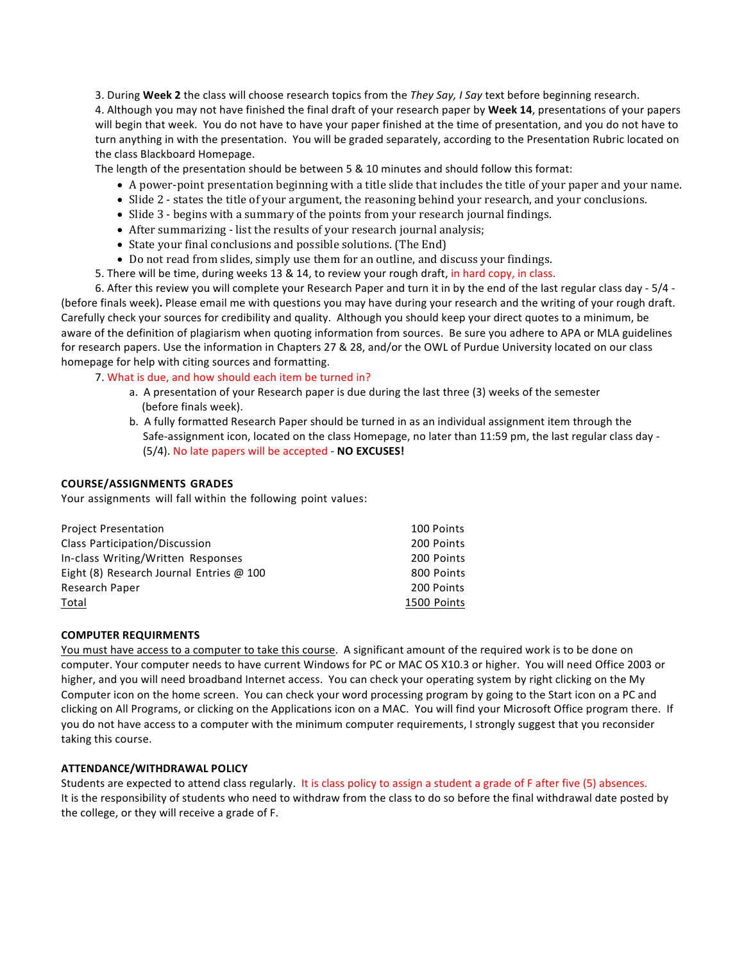3. During Week 2 the class will choose research topics from the They Say, I Say text before beginning research.

4. Although you may not have finished the final draft of your research paper by Week 14, presentations of your papers will begin that week. You do not have to have your paper finished at the time of presentation, and you do not have to turn anything in with the presentation. You will be graded separately, according to the Presentation Rubric located on the class Blackboard Homepage.

The length of the presentation should be between 5 & 10 minutes and should follow this format:

- A power-point presentation beginning with a title slide that includes the title of your paper and your name.
- Slide 2 states the title of your argument, the reasoning behind your research, and your conclusions.
- Slide 3 begins with a summary of the points from your research journal findings.
- After summarizing list the results of your research journal analysis;
- State your final conclusions and possible solutions. (The End)
- Do not read from slides, simply use them for an outline, and discuss your findings.
- 5. There will be time, during weeks 13 & 14, to review your rough draft, in hard copy, in class.

6. After this review you will complete your Research Paper and turn it in by the end of the last regular class day - 5/4 -(before finals week). Please email me with questions you may have during your research and the writing of your rough draft. Carefully check your sources for credibility and quality. Although you should keep your direct quotes to a minimum, be aware of the definition of plagiarism when quoting information from sources. Be sure you adhere to APA or MLA guidelines for research papers. Use the information in Chapters 27 & 28, and/or the OWL of Purdue University located on our class homepage for help with citing sources and formatting.

7. What is due, and how should each item be turned in?

- a. A presentation of your Research paper is due during the last three (3) weeks of the semester (before finals week).
- b. A fully formatted Research Paper should be turned in as an individual assignment item through the Safe-assignment icon, located on the class Homepage, no later than 11:59 pm, the last regular class day -(5/4). No late papers will be accepted - **NO EXCUSES!**

### **COURSE/ASSIGNMENTS GRADES**

Your assignments will fall within the following point values:

| <b>Project Presentation</b>                     | 100 Points  |
|-------------------------------------------------|-------------|
| Class Participation/Discussion                  | 200 Points  |
| In-class Writing/Written Responses              | 200 Points  |
| Eight (8) Research Journal Entries $\omega$ 100 | 800 Points  |
| Research Paper                                  | 200 Points  |
| Total                                           | 1500 Points |

### **COMPUTER REQUIRMENTS**

You must have access to a computer to take this course. A significant amount of the required work is to be done on computer. Your computer needs to have current Windows for PC or MAC OS X10.3 or higher. You will need Office 2003 or higher, and you will need broadband Internet access. You can check your operating system by right clicking on the My Computer icon on the home screen. You can check your word processing program by going to the Start icon on a PC and clicking on All Programs, or clicking on the Applications icon on a MAC. You will find your Microsoft Office program there. If you do not have access to a computer with the minimum computer requirements, I strongly suggest that you reconsider taking this course.

### **ATTENDANCE/WITHDRAWAL POLICY**

Students are expected to attend class regularly. It is class policy to assign a student a grade of F after five (5) absences. It is the responsibility of students who need to withdraw from the class to do so before the final withdrawal date posted by the college, or they will receive a grade of F.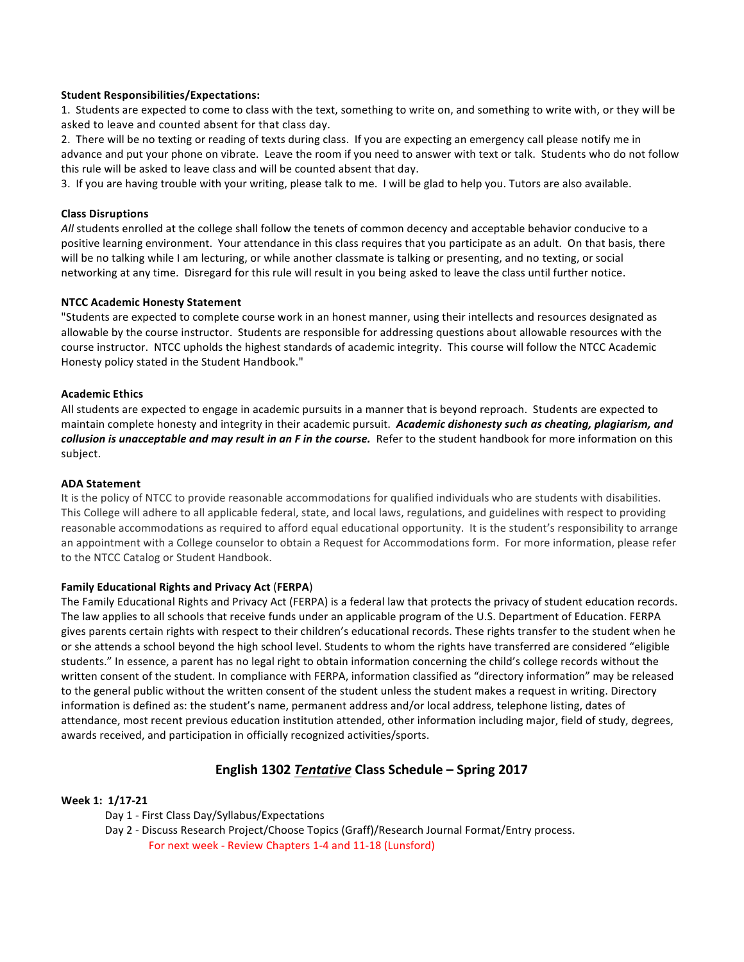### **Student Responsibilities/Expectations:**

1. Students are expected to come to class with the text, something to write on, and something to write with, or they will be asked to leave and counted absent for that class day.

2. There will be no texting or reading of texts during class. If you are expecting an emergency call please notify me in advance and put your phone on vibrate. Leave the room if you need to answer with text or talk. Students who do not follow this rule will be asked to leave class and will be counted absent that day.

3. If you are having trouble with your writing, please talk to me. I will be glad to help you. Tutors are also available.

### **Class Disruptions**

All students enrolled at the college shall follow the tenets of common decency and acceptable behavior conducive to a positive learning environment. Your attendance in this class requires that you participate as an adult. On that basis, there will be no talking while I am lecturing, or while another classmate is talking or presenting, and no texting, or social networking at any time. Disregard for this rule will result in you being asked to leave the class until further notice.

# **NTCC Academic Honesty Statement**

"Students are expected to complete course work in an honest manner, using their intellects and resources designated as allowable by the course instructor. Students are responsible for addressing questions about allowable resources with the course instructor. NTCC upholds the highest standards of academic integrity. This course will follow the NTCC Academic Honesty policy stated in the Student Handbook."

# **Academic Ethics**

All students are expected to engage in academic pursuits in a manner that is beyond reproach. Students are expected to maintain complete honesty and integrity in their academic pursuit. Academic dishonesty such as cheating, plagiarism, and collusion is unacceptable and may result in an F in the course. Refer to the student handbook for more information on this subject.

### **ADA Statement**

It is the policy of NTCC to provide reasonable accommodations for qualified individuals who are students with disabilities. This College will adhere to all applicable federal, state, and local laws, regulations, and guidelines with respect to providing reasonable accommodations as required to afford equal educational opportunity. It is the student's responsibility to arrange an appointment with a College counselor to obtain a Request for Accommodations form. For more information, please refer to the NTCC Catalog or Student Handbook.

# **Family Educational Rights and Privacy Act** (**FERPA**)

The Family Educational Rights and Privacy Act (FERPA) is a federal law that protects the privacy of student education records. The law applies to all schools that receive funds under an applicable program of the U.S. Department of Education. FERPA gives parents certain rights with respect to their children's educational records. These rights transfer to the student when he or she attends a school beyond the high school level. Students to whom the rights have transferred are considered "eligible students." In essence, a parent has no legal right to obtain information concerning the child's college records without the written consent of the student. In compliance with FERPA, information classified as "directory information" may be released to the general public without the written consent of the student unless the student makes a request in writing. Directory information is defined as: the student's name, permanent address and/or local address, telephone listing, dates of attendance, most recent previous education institution attended, other information including major, field of study, degrees, awards received, and participation in officially recognized activities/sports.

# **English 1302** *Tentative* **Class Schedule – Spring 2017**

# Week 1:  $1/17-21$

Day 1 - First Class Day/Syllabus/Expectations

Day 2 - Discuss Research Project/Choose Topics (Graff)/Research Journal Format/Entry process. For next week - Review Chapters 1-4 and 11-18 (Lunsford)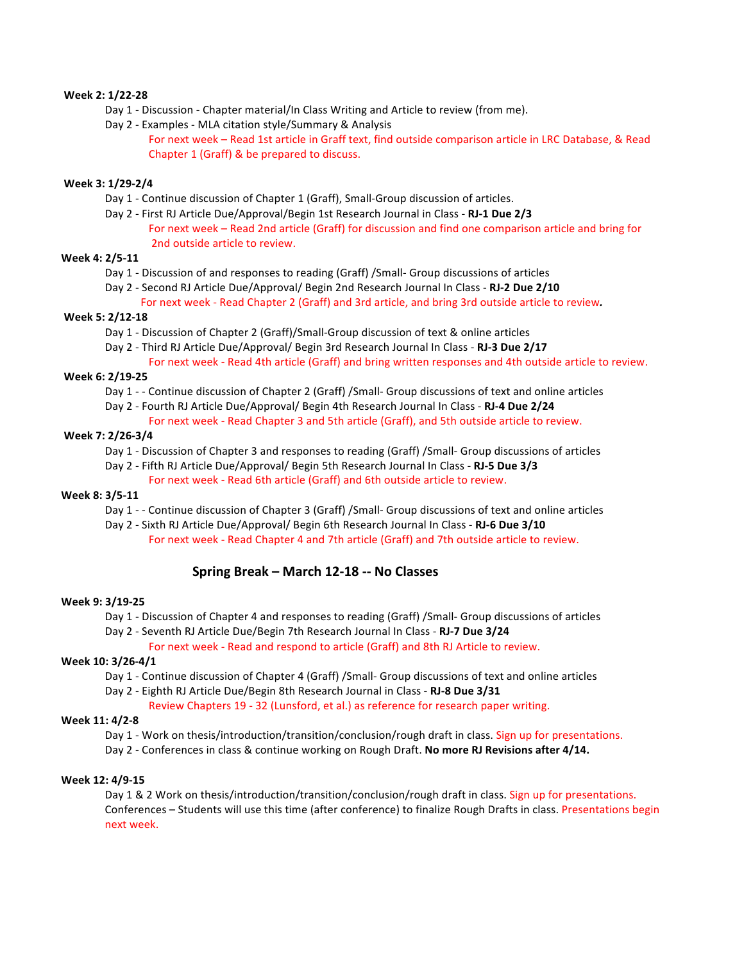# **Week 2: 1/22-28**

- Day 1 Discussion Chapter material/In Class Writing and Article to review (from me).
- Day 2 Examples MLA citation style/Summary & Analysis
	- For next week Read 1st article in Graff text, find outside comparison article in LRC Database, & Read Chapter 1 (Graff) & be prepared to discuss.

### **Week 3: 1/29-2/4**

- Day 1 Continue discussion of Chapter 1 (Graff), Small-Group discussion of articles.
- Day 2 - First RJ Article Due/Approval/Begin 1st Research Journal in Class - **RJ-1 Due 2/3** For next week – Read 2nd article (Graff) for discussion and find one comparison article and bring for 2nd outside article to review.

# **Week 4: 2/5-11**

- Day 1 Discussion of and responses to reading (Graff) /Small- Group discussions of articles
- Day 2 Second RJ Article Due/Approval/ Begin 2nd Research Journal In Class RJ-2 Due 2/10
	- For next week Read Chapter 2 (Graff) and 3rd article, and bring 3rd outside article to review.

### **Week 5: 2/12-18**

- Day 1 Discussion of Chapter 2 (Graff)/Small-Group discussion of text & online articles
- Day 2 Third RJ Article Due/Approval/ Begin 3rd Research Journal In Class RJ-3 Due 2/17
	- For next week Read 4th article (Graff) and bring written responses and 4th outside article to review.

### **Week 6: 2/19-25**

- Day 1 - Continue discussion of Chapter 2 (Graff) / Small- Group discussions of text and online articles
- Day 2 Fourth RJ Article Due/Approval/ Begin 4th Research Journal In Class RJ-4 Due 2/24
	- For next week Read Chapter 3 and 5th article (Graff), and 5th outside article to review.

### **Week 7: 2/26-3/4**

Day 1 - Discussion of Chapter 3 and responses to reading (Graff) / Small- Group discussions of articles

- Day 2 - Fifth RJ Article Due/Approval/ Begin 5th Research Journal In Class - **RJ-5 Due 3/3**
	- For next week Read 6th article (Graff) and 6th outside article to review.

### **Week 8: 3/5-11**

Day 1 - - Continue discussion of Chapter 3 (Graff) /Small- Group discussions of text and online articles

Day 2 - Sixth RJ Article Due/Approval/ Begin 6th Research Journal In Class - RJ-6 Due 3/10 For next week - Read Chapter 4 and 7th article (Graff) and 7th outside article to review.

# **Spring Break – March 12-18 -- No Classes**

### **Week 9: 3/19-25**

- Day 1 Discussion of Chapter 4 and responses to reading (Graff) /Small- Group discussions of articles
- Day 2 - Seventh RJ Article Due/Begin 7th Research Journal In Class - **RJ-7 Due 3/24**

For next week - Read and respond to article (Graff) and 8th RJ Article to review.

### **Week 10: 3/26-4/1**

- Day 1 Continue discussion of Chapter 4 (Graff) /Small- Group discussions of text and online articles
- Day 2 Eighth RJ Article Due/Begin 8th Research Journal in Class RJ-8 Due 3/31

Review Chapters 19 - 32 (Lunsford, et al.) as reference for research paper writing.

# **Week 11: 4/2-8**

- Day 1 Work on thesis/introduction/transition/conclusion/rough draft in class. Sign up for presentations.
- Day 2 Conferences in class & continue working on Rough Draft. No more RJ Revisions after 4/14.

### **Week 12: 4/9-15**

Day 1 & 2 Work on thesis/introduction/transition/conclusion/rough draft in class. Sign up for presentations. Conferences – Students will use this time (after conference) to finalize Rough Drafts in class. Presentations begin next week.